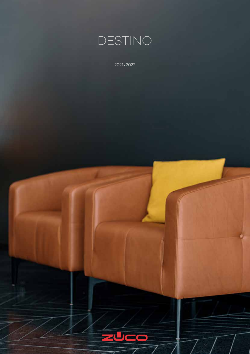

2021/2022

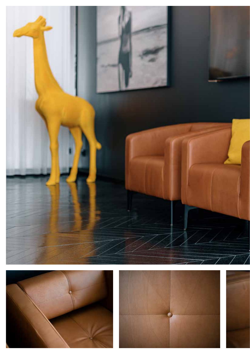





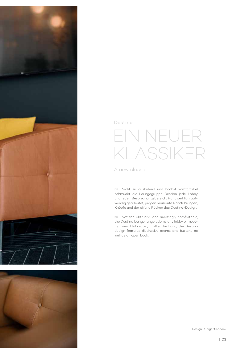



## Destino

## EIN NEUE KLASSIKE

A new classic

**DE** Nicht zu ausladend und höchst komfortabel schmückt die Loungegruppe Destino jede Lobby und jeden Besprechungsbereich. Handwerklich aufwendig gearbeitet, prägen markante Nahtführungen, Knöpfe und der offene Rücken das Destino-Design.

**EN** Not too obtrusive and amazingly comfortable, the Destino lounge range adorns any lobby or meeting area. Elaborately crafted by hand, the Destino design features distinctive seams and buttons as well as an open back.

Design: Rüdiger Schaack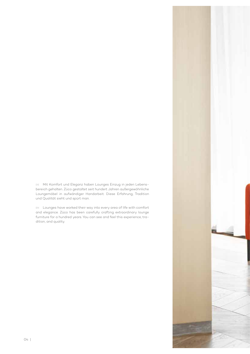**DE** Mit Komfort und Eleganz haben Lounges Einzug in jeden Lebensbereich gehalten. Züco gestaltet seit hundert Jahren außergewöhnliche Loungemöbel in aufwändiger Handarbeit. Diese Erfahrung, Tradition und Qualität sieht und spürt man.

**EN** Lounges have worked their way into every area of life with comfort and elegance. Züco has been carefully crafting extraordinary lounge furniture for a hundred years. You can see and feel this experience, tradition, and quality.

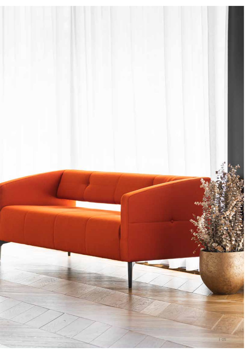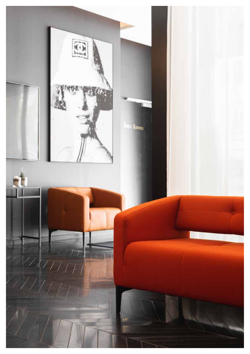